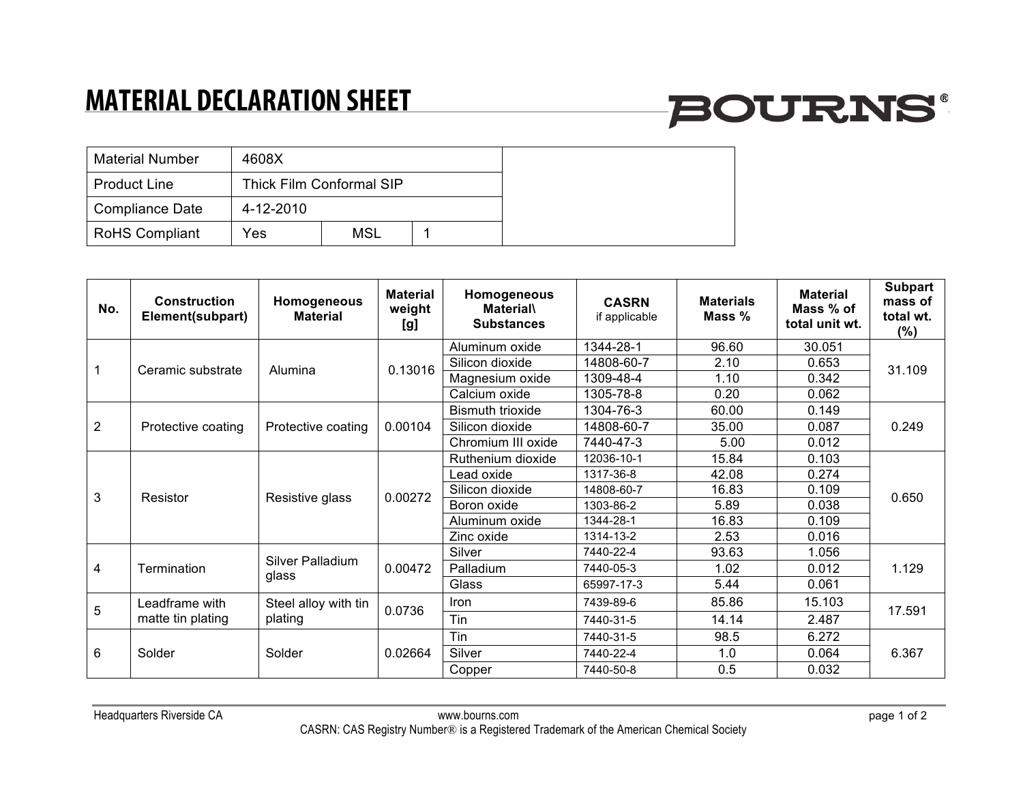## **MATERIAL DECLARATION SHEET**

# **BOURNS®**

| <b>Material Number</b> | 4608X     |                          |  |
|------------------------|-----------|--------------------------|--|
| <b>Product Line</b>    |           | Thick Film Conformal SIP |  |
| Compliance Date        | 4-12-2010 |                          |  |
| <b>RoHS Compliant</b>  | Yes       | <b>MSL</b>               |  |

| No.            | <b>Construction</b><br>Element(subpart) | Homogeneous<br><b>Material</b>  | <b>Material</b><br>weight<br>[g] | Homogeneous<br><b>Material\</b><br><b>Substances</b> | <b>CASRN</b><br>if applicable | <b>Materials</b><br>Mass % | <b>Material</b><br>Mass % of<br>total unit wt. | <b>Subpart</b><br>mass of<br>total wt.<br>$(\%)$ |
|----------------|-----------------------------------------|---------------------------------|----------------------------------|------------------------------------------------------|-------------------------------|----------------------------|------------------------------------------------|--------------------------------------------------|
|                | Ceramic substrate                       | Alumina                         | 0.13016                          | Aluminum oxide                                       | 1344-28-1                     | 96.60                      | 30.051                                         | 31.109                                           |
|                |                                         |                                 |                                  | Silicon dioxide                                      | 14808-60-7                    | 2.10                       | 0.653                                          |                                                  |
|                |                                         |                                 |                                  | Magnesium oxide                                      | 1309-48-4                     | 1.10                       | 0.342                                          |                                                  |
|                |                                         |                                 |                                  | Calcium oxide                                        | 1305-78-8                     | 0.20                       | 0.062                                          |                                                  |
| $\overline{2}$ | Protective coating                      | Protective coating              | 0.00104                          | <b>Bismuth trioxide</b>                              | 1304-76-3                     | 60.00                      | 0.149                                          | 0.249                                            |
|                |                                         |                                 |                                  | Silicon dioxide                                      | 14808-60-7                    | 35.00                      | 0.087                                          |                                                  |
|                |                                         |                                 |                                  | Chromium III oxide                                   | 7440-47-3                     | 5.00                       | 0.012                                          |                                                  |
| 3              | Resistor                                | Resistive glass                 | 0.00272                          | Ruthenium dioxide                                    | 12036-10-1                    | 15.84                      | 0.103                                          | 0.650                                            |
|                |                                         |                                 |                                  | Lead oxide                                           | 1317-36-8                     | 42.08                      | 0.274                                          |                                                  |
|                |                                         |                                 |                                  | Silicon dioxide                                      | 14808-60-7                    | 16.83                      | 0.109                                          |                                                  |
|                |                                         |                                 |                                  | Boron oxide                                          | 1303-86-2                     | 5.89                       | 0.038                                          |                                                  |
|                |                                         |                                 |                                  | Aluminum oxide                                       | 1344-28-1                     | 16.83                      | 0.109                                          |                                                  |
|                |                                         |                                 |                                  | Zinc oxide                                           | 1314-13-2                     | 2.53                       | 0.016                                          |                                                  |
| 4              | Termination                             | Silver Palladium<br>glass       | 0.00472                          | Silver                                               | 7440-22-4                     | 93.63                      | 1.056                                          | 1.129                                            |
|                |                                         |                                 |                                  | Palladium                                            | 7440-05-3                     | 1.02                       | 0.012                                          |                                                  |
|                |                                         |                                 |                                  | Glass                                                | 65997-17-3                    | 5.44                       | 0.061                                          |                                                  |
| 5              | Leadframe with<br>matte tin plating     | Steel alloy with tin<br>plating | 0.0736                           | <b>Iron</b>                                          | 7439-89-6                     | 85.86                      | 15.103                                         | 17.591                                           |
|                |                                         |                                 |                                  | Tin                                                  | 7440-31-5                     | 14.14                      | 2.487                                          |                                                  |
| 6              | Solder                                  | Solder                          | 0.02664                          | Tin                                                  | 7440-31-5                     | 98.5                       | 6.272                                          | 6.367                                            |
|                |                                         |                                 |                                  | Silver                                               | 7440-22-4                     | 1.0                        | 0.064                                          |                                                  |
|                |                                         |                                 |                                  | Copper                                               | 7440-50-8                     | 0.5                        | 0.032                                          |                                                  |